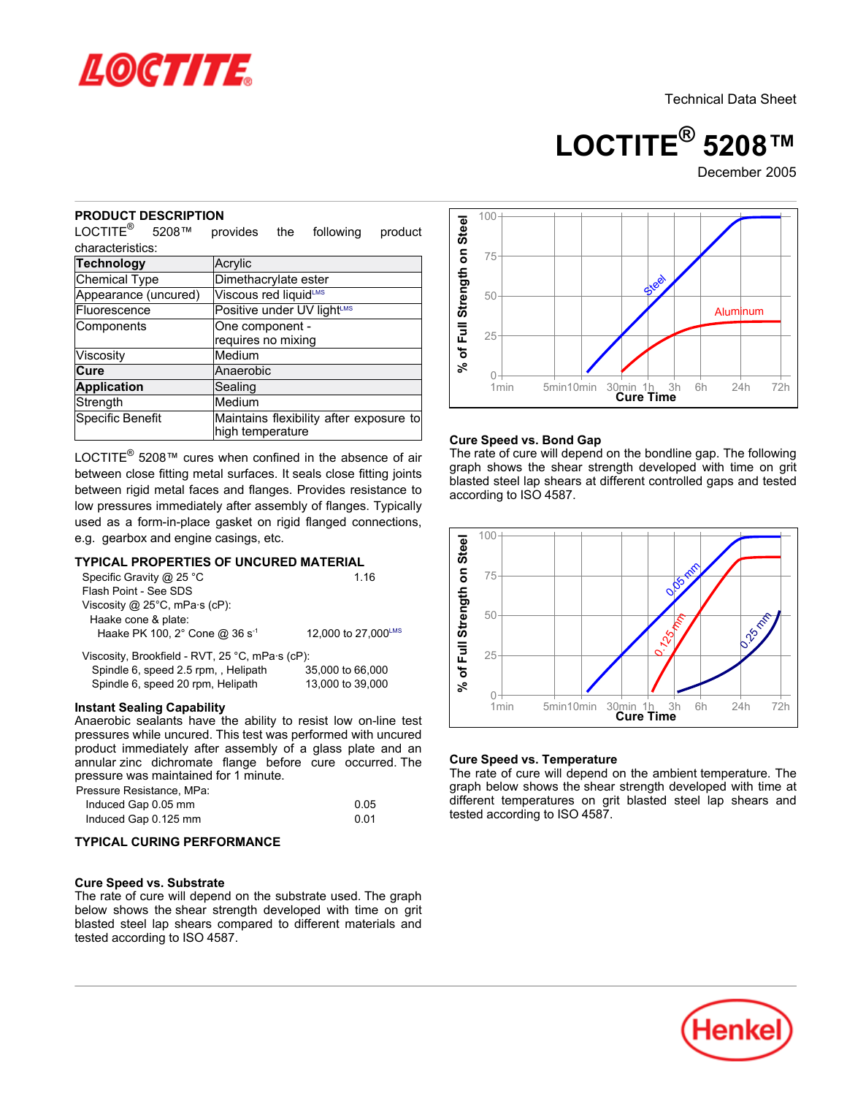

**LOCTITE® 5208™**

December 2005

#### **PRODUCT DESCRIPTION**

| ים שו<br>NE HVE<br>LOCTITE <sup>®</sup><br>5208™                                                                                                                                                                                                                                                                                                                                        | provides                               | the | following                                                           | product |                                     |
|-----------------------------------------------------------------------------------------------------------------------------------------------------------------------------------------------------------------------------------------------------------------------------------------------------------------------------------------------------------------------------------------|----------------------------------------|-----|---------------------------------------------------------------------|---------|-------------------------------------|
| characteristics:                                                                                                                                                                                                                                                                                                                                                                        |                                        |     |                                                                     |         |                                     |
| <b>Technology</b>                                                                                                                                                                                                                                                                                                                                                                       | Acrylic                                |     |                                                                     |         |                                     |
| Chemical Type                                                                                                                                                                                                                                                                                                                                                                           | Dimethacrylate ester                   |     |                                                                     |         |                                     |
| Appearance (uncured)                                                                                                                                                                                                                                                                                                                                                                    | Viscous red liquidLMS                  |     |                                                                     |         |                                     |
| Fluorescence                                                                                                                                                                                                                                                                                                                                                                            | Positive under UV light <sup>LMS</sup> |     |                                                                     |         |                                     |
| Components                                                                                                                                                                                                                                                                                                                                                                              | One component -<br>requires no mixing  |     |                                                                     |         | % of Full Strength on Stee          |
| Viscosity                                                                                                                                                                                                                                                                                                                                                                               | Medium                                 |     |                                                                     |         |                                     |
| Cure                                                                                                                                                                                                                                                                                                                                                                                    | Anaerobic                              |     |                                                                     |         |                                     |
| <b>Application</b>                                                                                                                                                                                                                                                                                                                                                                      | Sealing                                |     |                                                                     |         |                                     |
| Strength                                                                                                                                                                                                                                                                                                                                                                                | Medium                                 |     |                                                                     |         |                                     |
| Specific Benefit                                                                                                                                                                                                                                                                                                                                                                        | high temperature                       |     | Maintains flexibility after exposure to                             |         | Cur                                 |
| LOCTITE <sup>®</sup> 5208™ cures when confined in the absence of air<br>between close fitting metal surfaces. It seals close fitting joints<br>between rigid metal faces and flanges. Provides resistance to<br>low pressures immediately after assembly of flanges. Typically<br>used as a form-in-place gasket on rigid flanged connections,<br>e.g. gearbox and engine casings, etc. |                                        |     |                                                                     |         | gra<br>blas<br>acc                  |
| <b>TYPICAL PROPERTIES OF UNCURED MATERIAL</b><br>Specific Gravity @ 25 °C<br>Flash Point - See SDS<br>Viscosity @ 25°C, mPa·s (cP):<br>Haake cone & plate:<br>Haake PK 100, 2° Cone @ 36 s-1<br>Viscosity, Brookfield - RVT, 25 °C, mPa·s (cP):<br>Spindle 6, speed 2.5 rpm, Helipath<br>Spindle 6, speed 20 rpm, Helipath                                                              |                                        |     | 1.16<br>12,000 to 27,000LMS<br>35,000 to 66,000<br>13,000 to 39,000 |         | of Full Strength on Steel<br>گ<br>چ |
| <b>Instant Sealing Capability</b>                                                                                                                                                                                                                                                                                                                                                       |                                        |     |                                                                     |         |                                     |
| Anaerobic sealants have the ability to resist low on-line test<br>pressures while uncured. This test was performed with uncured<br>product immediately after assembly of a glass plate and an<br>annular zinc dichromate flange before cure occurred. The<br>pressure was maintained for 1 minute.                                                                                      |                                        |     |                                                                     |         | Cur<br>The                          |
| Pressure Resistance, MPa:<br>Induced Gap 0.05 mm<br>Induced Gap 0.125 mm                                                                                                                                                                                                                                                                                                                |                                        |     | 0.05<br>0.01                                                        |         | gra<br>diffe<br>test                |
| TYPICAL CURING PERFORMANCE                                                                                                                                                                                                                                                                                                                                                              |                                        |     |                                                                     |         |                                     |
| <b>Cure Speed vs. Substrate</b><br>The rate of cure will depend on the substrate used. The graph<br>below shows the shear strength developed with time on grit<br>blasted steel lap shears compared to different materials and<br>tested according to ISO 4587.                                                                                                                         |                                        |     |                                                                     |         |                                     |

### **TYPICAL PROPERTIES OF UNCURED MATERIAL**

| Specific Gravity @ 25 $^{\circ}$ C              | 1 1 6               |
|-------------------------------------------------|---------------------|
| Flash Point - See SDS                           |                     |
| Viscosity @ $25^{\circ}$ C, mPa $\cdot$ s (cP): |                     |
| Haake cone & plate:                             |                     |
| Haake PK 100, 2° Cone @ 36 s <sup>-1</sup>      | 12.000 to 27.000LMS |
| Viscosity, Brookfield - RVT, 25 °C, mPa·s (cP): |                     |

#### **Instant Sealing Capability**

| Pressure Resistance. MPa: |      |
|---------------------------|------|
| Induced Gap 0.05 mm       | 0.05 |
| Induced Gap 0.125 mm      | 0.01 |

## **TYPICAL CURING PERFORMANCE**

#### **Cure Speed vs. Substrate**



#### **Cure Speed vs. Bond Gap**

The rate of cure will depend on the bondline gap. The following graph shows the shear strength developed with time on grit blasted steel lap shears at different controlled gaps and tested according to ISO 4587.



#### **Cure Speed vs. Temperature**

The rate of cure will depend on the ambient temperature. The graph below shows the shear strength developed with time at different temperatures on grit blasted steel lap shears and tested according to ISO 4587.

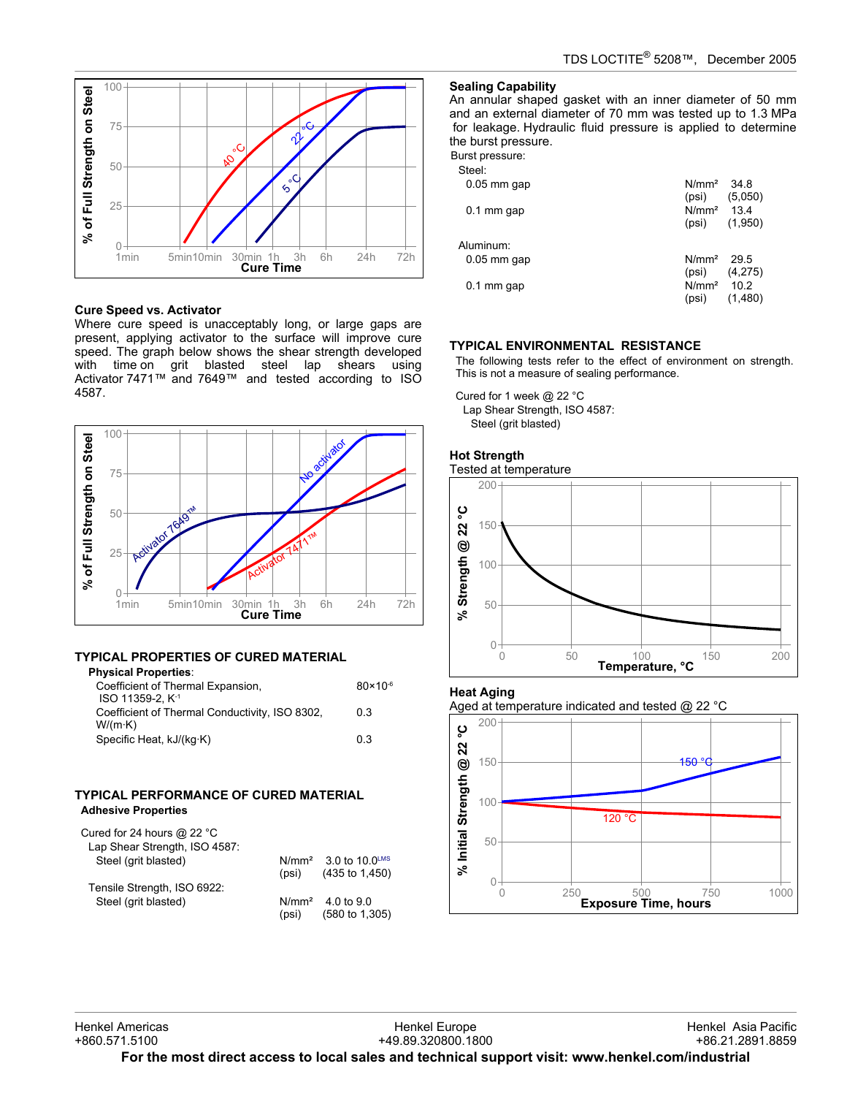

## **Cure Speed vs. Activator**

Where cure speed is unacceptably long, or large gaps are present, applying activator to the surface will improve cure speed. The graph below shows the shear strength developed with time on grit blasted steel lap shears using Activator 7471™ and 7649™ and tested according to ISO 4587.



## **TYPICAL PROPERTIES OF CURED MATERIAL**

| <b>Physical Properties:</b>                    |                     |
|------------------------------------------------|---------------------|
| Coefficient of Thermal Expansion,              | $80 \times 10^{-6}$ |
| ISO 11359-2. K <sup>-1</sup>                   |                     |
| Coefficient of Thermal Conductivity, ISO 8302, | 0.3                 |
| W/(m·K)                                        |                     |
| Specific Heat, kJ/(kg·K)                       | 0.3                 |
|                                                |                     |

## **TYPICAL PERFORMANCE OF CURED MATERIAL Adhesive Properties**

| Cured for 24 hours $@$ 22 °C<br>Lap Shear Strength, ISO 4587: |       |                                                                |
|---------------------------------------------------------------|-------|----------------------------------------------------------------|
| Steel (grit blasted)                                          | (psi) | N/mm <sup>2</sup> 3.0 to 10.0 <sup>LMS</sup><br>(435 to 1,450) |
| Tensile Strength, ISO 6922:                                   |       |                                                                |
| Steel (grit blasted)                                          | (psi) | $N/mm^2$ 4.0 to 9.0<br>$(580 \text{ to } 1,305)$               |

### **Sealing Capability**

An annular shaped gasket with an inner diameter of 50 mm and an external diameter of 70 mm was tested up to 1.3 MPa for leakage. Hydraulic fluid pressure is applied to determine the burst pressure.

Burst pressure:  $C$ teel:

| Sieel.        |                            |                   |
|---------------|----------------------------|-------------------|
| $0.05$ mm gap | N/mm <sup>2</sup><br>(psi) | - 34.8<br>(5,050) |
| $0.1$ mm gap  | $N/mm^2$ 134<br>(psi)      | (1,950)           |
| Aluminum:     |                            |                   |
| $0.05$ mm gap | N/mm <sup>2</sup><br>(psi) | - 29.5<br>(4,275) |
| $0.1$ mm gap  | N/mm <sup>2</sup><br>(psi) | 10.2<br>(1,480)   |
|               |                            |                   |

## **TYPICAL ENVIRONMENTAL RESISTANCE**

The following tests refer to the effect of environment on strength. This is not a measure of sealing performance.

Cured for 1 week @ 22 °C Lap Shear Strength, ISO 4587: Steel (grit blasted)

# **Hot Strength**

Tested at temperature



## **Heat Aging**

Aged at temperature indicated and tested @ 22 °C

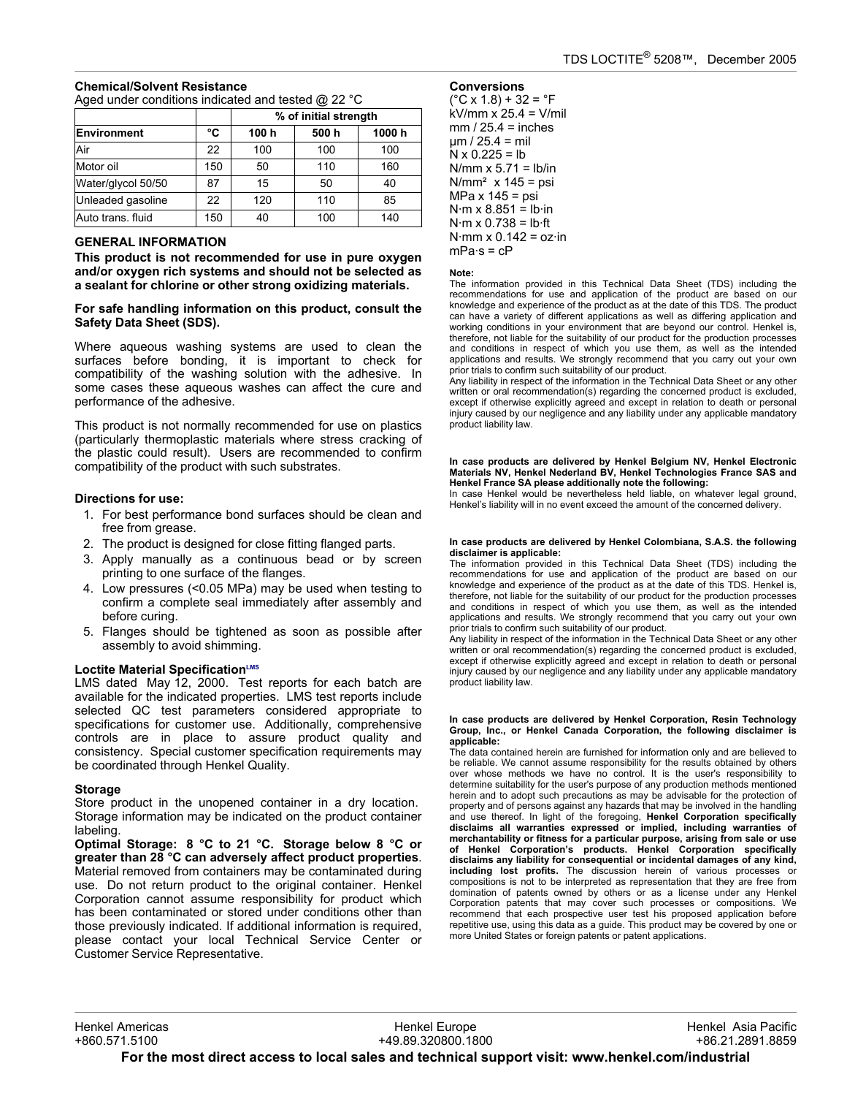## **Chemical/Solvent Resistance** Aged under conditions indicated and tested @ 22 °C

|                    |     | % of initial strength |       |        |  |
|--------------------|-----|-----------------------|-------|--------|--|
| <b>Environment</b> | °C  | 100 h                 | 500 h | 1000 h |  |
| Air                | 22  | 100                   | 100   | 100    |  |
| Motor oil          | 150 | 50                    | 110   | 160    |  |
| Water/glycol 50/50 | 87  | 15                    | 50    | 40     |  |
| Unleaded gasoline  | 22  | 120                   | 110   | 85     |  |
| Auto trans. fluid  | 150 | 40                    | 100   | 140    |  |

## **GENERAL INFORMATION**

**This product is not recommended for use in pure oxygen and/or oxygen rich systems and should not be selected as a sealant for chlorine or other strong oxidizing materials.**

#### **For safe handling information on this product, consult the Safety Data Sheet (SDS).**

Where aqueous washing systems are used to clean the surfaces before bonding, it is important to check for compatibility of the washing solution with the adhesive. In some cases these aqueous washes can affect the cure and performance of the adhesive.

This product is not normally recommended for use on plastics (particularly thermoplastic materials where stress cracking of the plastic could result). Users are recommended to confirm compatibility of the product with such substrates.

## **Directions for use:**

- 1. For best performance bond surfaces should be clean and free from grease.
- 2. The product is designed for close fitting flanged parts.
- 3. Apply manually as a continuous bead or by screen printing to one surface of the flanges.
- 4. Low pressures (<0.05 MPa) may be used when testing to confirm a complete seal immediately after assembly and before curing.
- 5. Flanges should be tightened as soon as possible after assembly to avoid shimming.

## **Loctite Material SpecificationLMS**

LMS dated May 12, 2000. Test reports for each batch are available for the indicated properties. LMS test reports include selected QC test parameters considered appropriate to specifications for customer use. Additionally, comprehensive controls are in place to assure product quality and consistency. Special customer specification requirements may be coordinated through Henkel Quality.

### **Storage**

Store product in the unopened container in a dry location. Storage information may be indicated on the product container labeling.

**Optimal Storage: 8 °C to 21 °C. Storage below 8 °C or greater than 28 °C can adversely affect product properties**. Material removed from containers may be contaminated during use. Do not return product to the original container. Henkel Corporation cannot assume responsibility for product which has been contaminated or stored under conditions other than those previously indicated. If additional information is required, please contact your local Technical Service Center or Customer Service Representative.

# **Conversions**

 $(^{\circ}C$  x 1.8) + 32 =  $^{\circ}F$ kV/mm  $x$  25.4 = V/mil  $mm / 25.4 = inches$  $µm / 25.4 = mli$  $N \times 0.225 = lb$ N/mm  $x$  5.71 = lb/in  $N/mm<sup>2</sup>$  x 145 = psi MPa  $x$  145 = psi  $N·m \times 8.851 = lb·in$  $N·m \times 0.738 = lb·ft$ N·mm  $\times$  0.142 = oz·in  $mPa·s = cP$ 

#### **Note:**

The information provided in this Technical Data Sheet (TDS) including the recommendations for use and application of the product are based on our knowledge and experience of the product as at the date of this TDS. The product can have a variety of different applications as well as differing application and working conditions in your environment that are beyond our control. Henkel is, therefore, not liable for the suitability of our product for the production processes and conditions in respect of which you use them, as well as the intended applications and results. We strongly recommend that you carry out your own prior trials to confirm such suitability of our product.

Any liability in respect of the information in the Technical Data Sheet or any other written or oral recommendation(s) regarding the concerned product is excluded, except if otherwise explicitly agreed and except in relation to death or personal injury caused by our negligence and any liability under any applicable mandatory product liability law.

#### **In case products are delivered by Henkel Belgium NV, Henkel Electronic Materials NV, Henkel Nederland BV, Henkel Technologies France SAS and Henkel France SA please additionally note the following:**

In case Henkel would be nevertheless held liable, on whatever legal ground, Henkel's liability will in no event exceed the amount of the concerned delivery.

#### **In case products are delivered by Henkel Colombiana, S.A.S. the following disclaimer is applicable:**

The information provided in this Technical Data Sheet (TDS) including the recommendations for use and application of the product are based on our knowledge and experience of the product as at the date of this TDS. Henkel is, therefore, not liable for the suitability of our product for the production processes and conditions in respect of which you use them, as well as the intended applications and results. We strongly recommend that you carry out your own prior trials to confirm such suitability of our product.

Any liability in respect of the information in the Technical Data Sheet or any other written or oral recommendation(s) regarding the concerned product is excluded, except if otherwise explicitly agreed and except in relation to death or personal injury caused by our negligence and any liability under any applicable mandatory product liability law.

#### **In case products are delivered by Henkel Corporation, Resin Technology Group, Inc., or Henkel Canada Corporation, the following disclaimer is applicable:**

The data contained herein are furnished for information only and are believed to be reliable. We cannot assume responsibility for the results obtained by others over whose methods we have no control. It is the user's responsibility to determine suitability for the user's purpose of any production methods mentioned herein and to adopt such precautions as may be advisable for the protection of property and of persons against any hazards that may be involved in the handling and use thereof. In light of the foregoing, **Henkel Corporation specifically disclaims all warranties expressed or implied, including warranties of merchantability or fitness for a particular purpose, arising from sale or use of Henkel Corporation's products. Henkel Corporation specifically disclaims any liability for consequential or incidental damages of any kind, including lost profits.** The discussion herein of various processes or compositions is not to be interpreted as representation that they are free from domination of patents owned by others or as a license under any Henkel Corporation patents that may cover such processes or compositions. We recommend that each prospective user test his proposed application before repetitive use, using this data as a guide. This product may be covered by one or more United States or foreign patents or patent applications.